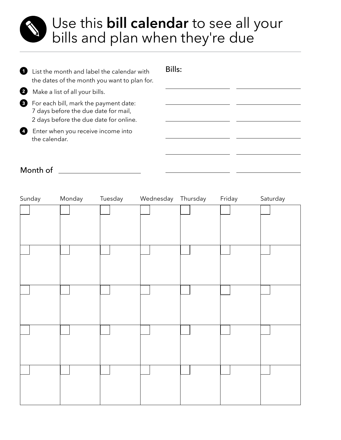## Use this **bill calendar** to see all your bills and plan when they're due.

| O | List the month and label the calendar with<br>the dates of the month you want to plan for.                              | Bills: |  |
|---|-------------------------------------------------------------------------------------------------------------------------|--------|--|
| 2 | Make a list of all your bills.                                                                                          |        |  |
| ❸ | For each bill, mark the payment date:<br>7 days before the due date for mail,<br>2 days before the due date for online. |        |  |
| Ø | Enter when you receive income into<br>the calendar.                                                                     |        |  |

## Month of

| Sunday | Monday | Tuesday | Wednesday Thursday | Friday | Saturday |
|--------|--------|---------|--------------------|--------|----------|
|        |        |         |                    |        |          |
|        |        |         |                    |        |          |
|        |        |         |                    |        |          |
|        |        |         |                    |        |          |
|        |        |         |                    |        |          |
|        |        |         |                    |        |          |
|        |        |         |                    |        |          |
|        |        |         |                    |        |          |
|        |        |         |                    |        |          |
|        |        |         |                    |        |          |
|        |        |         |                    |        |          |
|        |        |         |                    |        |          |